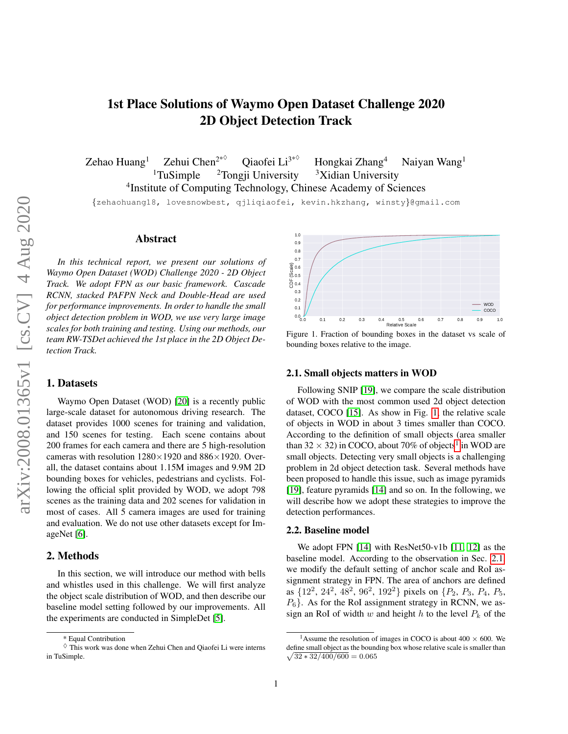# 2D Object Detection Track Zehao Huang<sup>1</sup> Zehui Chen<sup>2\* $\diamond$ </sup> Qiaofei Li<sup>3\*</sup>

Hongkai Zhang<sup>4</sup> Naiyan Wang<sup>1</sup> <sup>1</sup>TuSimple <sup>2</sup>Tongji University <sup>3</sup>Xidian University 4 Institute of Computing Technology, Chinese Academy of Sciences {zehaohuang18, lovesnowbest, qjliqiaofei, kevin.hkzhang, winsty}@gmail.com

1st Place Solutions of Waymo Open Dataset Challenge 2020

# Abstract

*In this technical report, we present our solutions of Waymo Open Dataset (WOD) Challenge 2020 - 2D Object Track. We adopt FPN as our basic framework. Cascade RCNN, stacked PAFPN Neck and Double-Head are used for performance improvements. In order to handle the small object detection problem in WOD, we use very large image scales for both training and testing. Using our methods, our team RW-TSDet achieved the 1st place in the 2D Object Detection Track.*

## 1. Datasets

Waymo Open Dataset (WOD) [\[20\]](#page-3-0) is a recently public large-scale dataset for autonomous driving research. The dataset provides 1000 scenes for training and validation, and 150 scenes for testing. Each scene contains about 200 frames for each camera and there are 5 high-resolution cameras with resolution  $1280 \times 1920$  and  $886 \times 1920$ . Overall, the dataset contains about 1.15M images and 9.9M 2D bounding boxes for vehicles, pedestrians and cyclists. Following the official split provided by WOD, we adopt 798 scenes as the training data and 202 scenes for validation in most of cases. All 5 camera images are used for training and evaluation. We do not use other datasets except for ImageNet [\[6\]](#page-2-0).

## 2. Methods

In this section, we will introduce our method with bells and whistles used in this challenge. We will first analyze the object scale distribution of WOD, and then describe our baseline model setting followed by our improvements. All the experiments are conducted in SimpleDet [\[5\]](#page-2-1).



<span id="page-0-0"></span>Figure 1. Fraction of bounding boxes in the dataset vs scale of bounding boxes relative to the image.

#### <span id="page-0-2"></span>2.1. Small objects matters in WOD

Following SNIP [\[19\]](#page-3-1), we compare the scale distribution of WOD with the most common used 2d object detection dataset, COCO [\[15\]](#page-3-2). As show in Fig. [1,](#page-0-0) the relative scale of objects in WOD in about 3 times smaller than COCO. According to the definition of small objects (area smaller than 32  $\times$  32) in COCO, about 70% of objects<sup>[1](#page-0-1)</sup> in WOD are small objects. Detecting very small objects is a challenging problem in 2d object detection task. Several methods have been proposed to handle this issue, such as image pyramids [\[19\]](#page-3-1), feature pyramids [\[14\]](#page-3-3) and so on. In the following, we will describe how we adopt these strategies to improve the detection performances.

#### 2.2. Baseline model

We adopt FPN [\[14\]](#page-3-3) with ResNet50-v1b [\[11,](#page-3-4) [12\]](#page-3-5) as the baseline model. According to the observation in Sec. [2.1,](#page-0-2) we modify the default setting of anchor scale and RoI assignment strategy in FPN. The area of anchors are defined as  $\{12^2, 24^2, 48^2, 96^2, 192^2\}$  pixels on  $\{P_2, P_3, P_4, P_5,$  $P_6$ . As for the RoI assignment strategy in RCNN, we assign an RoI of width w and height h to the level  $P_k$  of the

<sup>\*</sup> Equal Contribution

 $\Diamond$  This work was done when Zehui Chen and Qiaofei Li were interns in TuSimple.

<span id="page-0-1"></span><sup>&</sup>lt;sup>1</sup>Assume the resolution of images in COCO is about  $400 \times 600$ . We define small object as the bounding box whose relative scale is smaller than  $\sqrt{32 * 32/400/600} = 0.065$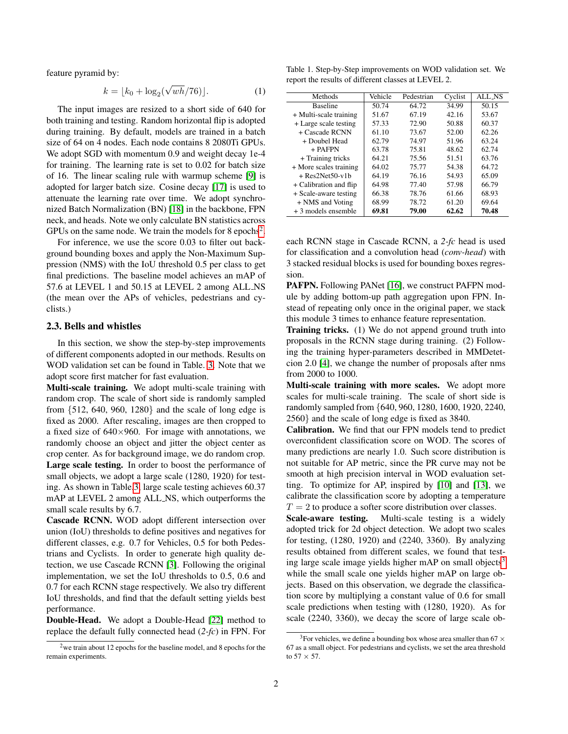feature pyramid by:

$$
k = \lfloor k_0 + \log_2(\sqrt{wh}/76) \rfloor.
$$
 (1)

The input images are resized to a short side of 640 for both training and testing. Random horizontal flip is adopted during training. By default, models are trained in a batch size of 64 on 4 nodes. Each node contains 8 2080Ti GPUs. We adopt SGD with momentum 0.9 and weight decay 1e-4 for training. The learning rate is set to 0.02 for batch size of 16. The linear scaling rule with warmup scheme [\[9\]](#page-2-2) is adopted for larger batch size. Cosine decay [\[17\]](#page-3-6) is used to attenuate the learning rate over time. We adopt synchronized Batch Normalization (BN) [\[18\]](#page-3-7) in the backbone, FPN neck, and heads. Note we only calculate BN statistics across GPUs on the same node. We train the models for  $8$  epochs<sup>[2](#page-1-0)</sup>.

For inference, we use the score 0.03 to filter out background bounding boxes and apply the Non-Maximum Suppression (NMS) with the IoU threshold 0.5 per class to get final predictions. The baseline model achieves an mAP of 57.6 at LEVEL 1 and 50.15 at LEVEL 2 among ALL NS (the mean over the APs of vehicles, pedestrians and cyclists.)

## 2.3. Bells and whistles

In this section, we show the step-by-step improvements of different components adopted in our methods. Results on WOD validation set can be found in Table. [3.](#page-2-3) Note that we adopt score first matcher for fast evaluation.

Multi-scale training. We adopt multi-scale training with random crop. The scale of short side is randomly sampled from {512, 640, 960, 1280} and the scale of long edge is fixed as 2000. After rescaling, images are then cropped to a fixed size of  $640\times960$ . For image with annotations, we randomly choose an object and jitter the object center as crop center. As for background image, we do random crop. Large scale testing. In order to boost the performance of small objects, we adopt a large scale (1280, 1920) for testing. As shown in Table[.3,](#page-2-3) large scale testing achieves 60.37 mAP at LEVEL 2 among ALL NS, which outperforms the small scale results by 6.7.

Cascade RCNN. WOD adopt different intersection over union (IoU) thresholds to define positives and negatives for different classes, e.g. 0.7 for Vehicles, 0.5 for both Pedestrians and Cyclists. In order to generate high quality detection, we use Cascade RCNN [\[3\]](#page-2-4). Following the original implementation, we set the IoU thresholds to 0.5, 0.6 and 0.7 for each RCNN stage respectively. We also try different IoU thresholds, and find that the default setting yields best performance.

Double-Head. We adopt a Double-Head [\[22\]](#page-3-8) method to replace the default fully connected head (*2-fc*) in FPN. For

Table 1. Step-by-Step improvements on WOD validation set. We report the results of different classes at LEVEL 2.

| Methods                | Vehicle | Pedestrian | Cyclist | ALL NS |
|------------------------|---------|------------|---------|--------|
| <b>Baseline</b>        | 50.74   | 64.72      | 34.99   | 50.15  |
| + Multi-scale training | 51.67   | 67.19      | 42.16   | 53.67  |
| + Large scale testing  | 57.33   | 72.90      | 50.88   | 60.37  |
| + Cascade RCNN         | 61.10   | 73.67      | 52.00   | 62.26  |
| + Doubel Head          | 62.79   | 74.97      | 51.96   | 63.24  |
| $+$ PAFPN              | 63.78   | 75.81      | 48.62   | 62.74  |
| + Training tricks      | 64.21   | 75.56      | 51.51   | 63.76  |
| + More scales training | 64.02   | 75.77      | 54.38   | 64.72  |
| $+$ Res2Net50-v1b      | 64.19   | 76.16      | 54.93   | 65.09  |
| + Calibration and flip | 64.98   | 77.40      | 57.98   | 66.79  |
| + Scale-aware testing  | 66.38   | 78.76      | 61.66   | 68.93  |
| + NMS and Voting       | 68.99   | 78.72      | 61.20   | 69.64  |
| $+3$ models ensemble   | 69.81   | 79.00      | 62.62   | 70.48  |

each RCNN stage in Cascade RCNN, a *2-fc* head is used for classification and a convolution head (*conv-head*) with 3 stacked residual blocks is used for bounding boxes regression.

PAFPN. Following PANet [\[16\]](#page-3-9), we construct PAFPN module by adding bottom-up path aggregation upon FPN. Instead of repeating only once in the original paper, we stack this module 3 times to enhance feature representation.

Training tricks. (1) We do not append ground truth into proposals in the RCNN stage during training. (2) Following the training hyper-parameters described in MMDetetcion 2.0 [\[4\]](#page-2-5), we change the number of proposals after nms from 2000 to 1000.

Multi-scale training with more scales. We adopt more scales for multi-scale training. The scale of short side is randomly sampled from {640, 960, 1280, 1600, 1920, 2240, 2560} and the scale of long edge is fixed as 3840.

Calibration. We find that our FPN models tend to predict overconfident classification score on WOD. The scores of many predictions are nearly 1.0. Such score distribution is not suitable for AP metric, since the PR curve may not be smooth at high precision interval in WOD evaluation setting. To optimize for AP, inspired by [\[10\]](#page-3-10) and [\[13\]](#page-3-11), we calibrate the classification score by adopting a temperature  $T = 2$  to produce a softer score distribution over classes.

Scale-aware testing. Multi-scale testing is a widely adopted trick for 2d object detection. We adopt two scales for testing, (1280, 1920) and (2240, 3360). By analyzing results obtained from different scales, we found that test-ing large scale image yields higher mAP on small objects<sup>[3](#page-1-1)</sup> while the small scale one yields higher mAP on large objects. Based on this observation, we degrade the classification score by multiplying a constant value of 0.6 for small scale predictions when testing with (1280, 1920). As for scale (2240, 3360), we decay the score of large scale ob-

<span id="page-1-0"></span><sup>2</sup>we train about 12 epochs for the baseline model, and 8 epochs for the remain experiments.

<span id="page-1-1"></span><sup>&</sup>lt;sup>3</sup>For vehicles, we define a bounding box whose area smaller than 67  $\times$ 67 as a small object. For pedestrians and cyclists, we set the area threshold to  $57 \times 57$ .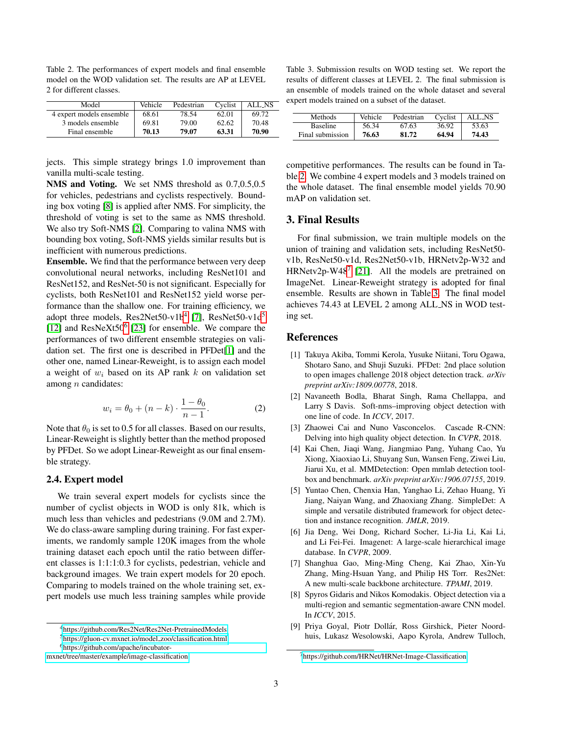<span id="page-2-13"></span>

| Table 2. The performances of expert models and final ensemble |
|---------------------------------------------------------------|
| model on the WOD validation set. The results are AP at LEVEL  |
| 2 for different classes.                                      |

| Model                    | Vehicle | Pedestrian | Cyclist | ALL_NS |
|--------------------------|---------|------------|---------|--------|
| 4 expert models ensemble | 68.61   | 78.54      | 62.01   | 69.72  |
| 3 models ensemble        | 69.81   | 79.00      | 62.62   | 70.48  |
| Final ensemble           | 70.13   | 79.07      | 63.31   | 70.90  |

jects. This simple strategy brings 1.0 improvement than vanilla multi-scale testing.

NMS and Voting. We set NMS threshold as 0.7,0.5,0.5 for vehicles, pedestrians and cyclists respectively. Bounding box voting [\[8\]](#page-2-6) is applied after NMS. For simplicity, the threshold of voting is set to the same as NMS threshold. We also try Soft-NMS [\[2\]](#page-2-7). Comparing to valina NMS with bounding box voting, Soft-NMS yields similar results but is inefficient with numerous predictions.

Ensemble. We find that the performance between very deep convolutional neural networks, including ResNet101 and ResNet152, and ResNet-50 is not significant. Especially for cyclists, both ResNet101 and ResNet152 yield worse performance than the shallow one. For training efficiency, we adopt three models, Res2Net50-v1b<sup>[4](#page-2-8)</sup> [\[7\]](#page-2-9), ResNet[5](#page-2-10)0-v1d<sup>5</sup> [\[12\]](#page-3-5) and ResNeXt50<sup>[6](#page-2-11)</sup> [\[23\]](#page-3-12) for ensemble. We compare the performances of two different ensemble strategies on validation set. The first one is described in PFDet[\[1\]](#page-2-12) and the other one, named Linear-Reweight, is to assign each model a weight of  $w_i$  based on its AP rank k on validation set among  $n$  candidates:

$$
w_i = \theta_0 + (n - k) \cdot \frac{1 - \theta_0}{n - 1}.
$$
 (2)

Note that  $\theta_0$  is set to 0.5 for all classes. Based on our results, Linear-Reweight is slightly better than the method proposed by PFDet. So we adopt Linear-Reweight as our final ensemble strategy.

## 2.4. Expert model

We train several expert models for cyclists since the number of cyclist objects in WOD is only 81k, which is much less than vehicles and pedestrians (9.0M and 2.7M). We do class-aware sampling during training. For fast experiments, we randomly sample 120K images from the whole training dataset each epoch until the ratio between different classes is 1:1:1:0.3 for cyclists, pedestrian, vehicle and background images. We train expert models for 20 epoch. Comparing to models trained on the whole training set, expert models use much less training samples while provide

<span id="page-2-3"></span>Table 3. Submission results on WOD testing set. We report the results of different classes at LEVEL 2. The final submission is an ensemble of models trained on the whole dataset and several expert models trained on a subset of the dataset.

| Methods          | Vehicle | Pedestrian | Cyclist | ALL_NS |
|------------------|---------|------------|---------|--------|
| <b>Baseline</b>  | 56.34   | 67.63      | 36.92   | 53.63  |
| Final submission | 76.63   | 81.72      | 64.94   | 74.43  |

competitive performances. The results can be found in Table[.2.](#page-2-13) We combine 4 expert models and 3 models trained on the whole dataset. The final ensemble model yields 70.90 mAP on validation set.

## <span id="page-2-15"></span>3. Final Results

For final submission, we train multiple models on the union of training and validation sets, including ResNet50 v1b, ResNet50-v1d, Res2Net50-v1b, HRNetv2p-W32 and HRNetv2p-W48<sup>[7](#page-2-14)</sup> [\[21\]](#page-3-13). All the models are pretrained on ImageNet. Linear-Reweight strategy is adopted for final ensemble. Results are shown in Table[.3.](#page-2-15) The final model achieves 74.43 at LEVEL 2 among ALL NS in WOD testing set.

## References

- <span id="page-2-12"></span>[1] Takuya Akiba, Tommi Kerola, Yusuke Niitani, Toru Ogawa, Shotaro Sano, and Shuji Suzuki. PFDet: 2nd place solution to open images challenge 2018 object detection track. *arXiv preprint arXiv:1809.00778*, 2018.
- <span id="page-2-7"></span>[2] Navaneeth Bodla, Bharat Singh, Rama Chellappa, and Larry S Davis. Soft-nms–improving object detection with one line of code. In *ICCV*, 2017.
- <span id="page-2-4"></span>[3] Zhaowei Cai and Nuno Vasconcelos. Cascade R-CNN: Delving into high quality object detection. In *CVPR*, 2018.
- <span id="page-2-5"></span>[4] Kai Chen, Jiaqi Wang, Jiangmiao Pang, Yuhang Cao, Yu Xiong, Xiaoxiao Li, Shuyang Sun, Wansen Feng, Ziwei Liu, Jiarui Xu, et al. MMDetection: Open mmlab detection toolbox and benchmark. *arXiv preprint arXiv:1906.07155*, 2019.
- <span id="page-2-1"></span>[5] Yuntao Chen, Chenxia Han, Yanghao Li, Zehao Huang, Yi Jiang, Naiyan Wang, and Zhaoxiang Zhang. SimpleDet: A simple and versatile distributed framework for object detection and instance recognition. *JMLR*, 2019.
- <span id="page-2-0"></span>[6] Jia Deng, Wei Dong, Richard Socher, Li-Jia Li, Kai Li, and Li Fei-Fei. Imagenet: A large-scale hierarchical image database. In *CVPR*, 2009.
- <span id="page-2-9"></span>[7] Shanghua Gao, Ming-Ming Cheng, Kai Zhao, Xin-Yu Zhang, Ming-Hsuan Yang, and Philip HS Torr. Res2Net: A new multi-scale backbone architecture. *TPAMI*, 2019.
- <span id="page-2-6"></span>[8] Spyros Gidaris and Nikos Komodakis. Object detection via a multi-region and semantic segmentation-aware CNN model. In *ICCV*, 2015.
- <span id="page-2-2"></span>[9] Priya Goyal, Piotr Dollár, Ross Girshick, Pieter Noordhuis, Lukasz Wesolowski, Aapo Kyrola, Andrew Tulloch,

<span id="page-2-10"></span><span id="page-2-8"></span><sup>4</sup><https://github.com/Res2Net/Res2Net-PretrainedModels>

<span id="page-2-11"></span><sup>5</sup>[https://gluon-cv.mxnet.io/model](https://gluon-cv.mxnet.io/model_zoo/classification.html) zoo/classification.html

<sup>6</sup>[https://github.com/apache/incubator-](https://github.com/apache/incubator-mxnet/tree/master/example/image-classification)

[mxnet/tree/master/example/image-classification](https://github.com/apache/incubator-mxnet/tree/master/example/image-classification)

<span id="page-2-14"></span><sup>7</sup><https://github.com/HRNet/HRNet-Image-Classification>